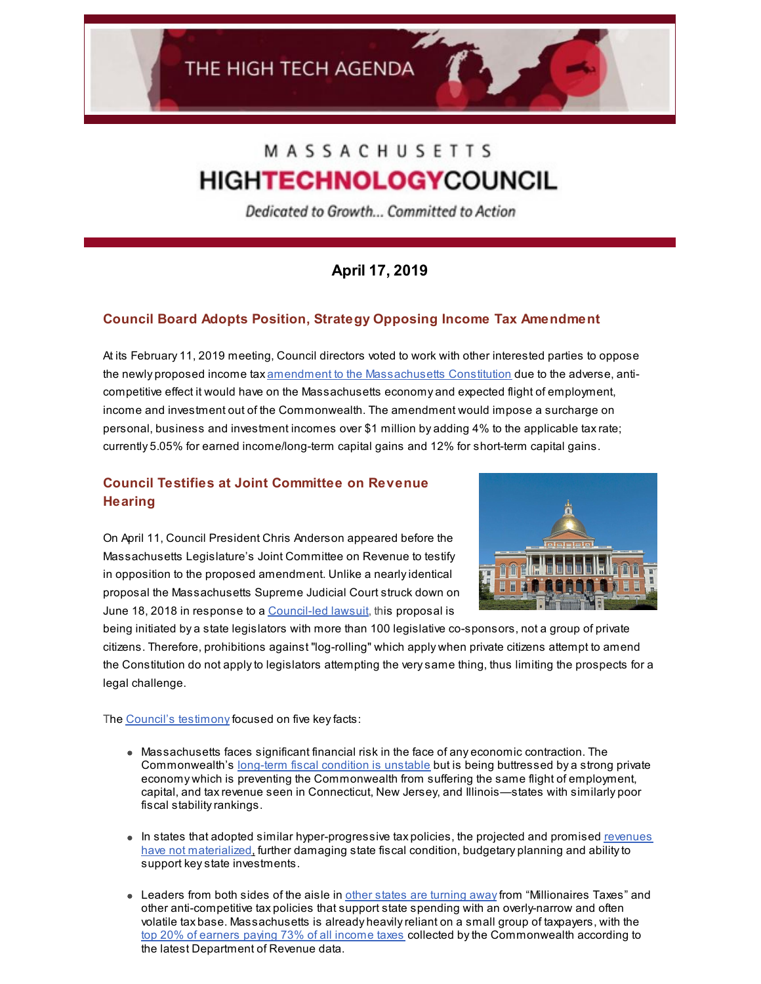# MASSACHUSETTS **HIGHTECHNOLOGYCOUNCIL**

Dedicated to Growth... Committed to Action

## **April 17, 2019**

## **Council Board Adopts Position, Strategy Opposing Income Tax Amendment**

At its February 11, 2019 meeting, Council directors voted to work with other interested parties to oppose the newly proposed income tax amendment to the [Massachusetts](https://malegislature.gov/Bills/191/S16) Constitution due to the adverse, anticompetitive effect it would have on the Massachusetts economy and expected flight of employment, income and investment out of the Commonwealth. The amendment would impose a surcharge on personal, business and investment incomes over \$1 million by adding 4% to the applicable taxrate; currently 5.05% for earned income/long-term capital gains and 12% for short-term capital gains.

## **Council Testifies at Joint Committee on Revenue Hearing**

On April 11, Council President Chris Anderson appeared before the Massachusetts Legislature's Joint Committee on Revenue to testify in opposition to the proposed amendment. Unlike a nearlyidentical proposal the Massachusetts Supreme Judicial Court struck down on June 18, 2018 in response to a [Council-led](http://www.mhtc.org/wp-content/uploads/2019/03/MHTC-Presidents-Bulletin-7.12.18.pdf) lawsuit, this proposal is



being initiated by a state legislators with more than 100 legislative co-sponsors, not a group of private citizens. Therefore, prohibitions against "log-rolling" which apply when private citizens attempt to amend the Constitution do not applyto legislators attempting the verysame thing, thus limiting the prospects for a legal challenge.

The Council's [testimony](http://www.mhtc.org/wp-content/uploads/2019/04/MHTC_Testimony_Income-Tax-Constitutional-Amendment-4.11.19-FINAL.pdf) focused on five key facts:

- Massachusetts faces significant financial risk in the face of any economic contraction. The Commonwealth's [long-term](http://matters.mhtc.org/explore?metrics=83&userMetrics=&states=51,1,2,3,4,5,6,7,8,9,10,11,12,13,14,15,16,17,18,19,20,21,22,23,24,25,26,27,28,29,30,31,32,33,34,35,36,37,38,39,40,41,42,43,44,45,46,47,48,49,50&visualization=3&specificMetric=83&year=2019) fiscal condition is unstable but is being buttressed by a strong private economy which is preventing the Commonwealth from suffering the same flight of employment, capital, and taxrevenue seen in Connecticut, New Jersey, and Illinois—states with similarly poor fiscal stabilityrankings.
- $\bullet$  In states that adopted similar [hyper-progressive](https://www.mdpolicy.org/research/detail/maryland-has-better-alternatives-to-the-millionaires-tax) tax policies, the projected and promised revenues have not materialized[,](https://www.mdpolicy.org/research/detail/maryland-has-better-alternatives-to-the-millionaires-tax) further damaging state fiscal condition, budgetary planning and abilityto support keystate investments.
- Leaders from both sides of the aisle in other states are [turning](https://www.wsj.com/articles/andrew-cuomos-tax-epiphany-11549417351) awayfrom "Millionaires Taxes" and other anti-competitive tax policies that support state spending with an overly-narrow and often volatile tax base. Massachusetts is already heavilyreliant on a small group of taxpayers, with the top 20% of [earners](https://www.mass.gov/files/documents/2019/04/11/dor-other-reports-2017-statistics-of-income-tax-returns-by-quintile-1.pdf) paying 73% of all income taxes collected bythe Commonwealth according to the latest Department of Revenue data.